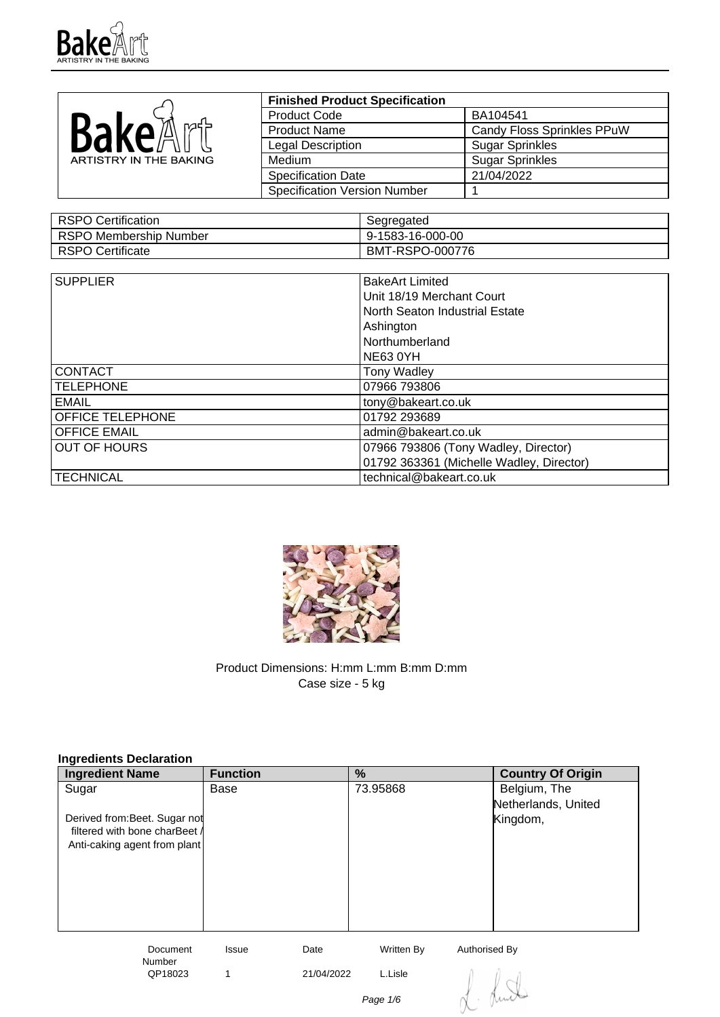

|                        | <b>Finished Product Specification</b> |                            |
|------------------------|---------------------------------------|----------------------------|
|                        | <b>Product Code</b>                   | BA104541                   |
| BakeA<br><u>nad – </u> | <b>Product Name</b>                   | Candy Floss Sprinkles PPuW |
|                        | <b>Legal Description</b>              | <b>Sugar Sprinkles</b>     |
| ARTISTRY IN THE BAKING | Medium                                | <b>Sugar Sprinkles</b>     |
|                        | <b>Specification Date</b>             | 21/04/2022                 |
|                        | <b>Specification Version Number</b>   |                            |

| RSPO Certification     | Segregated       |
|------------------------|------------------|
| RSPO Membership Number | 9-1583-16-000-00 |
| RSPO Certificate       | BMT-RSPO-000776  |

| <b>SUPPLIER</b>     | <b>BakeArt Limited</b>                   |
|---------------------|------------------------------------------|
|                     |                                          |
|                     | Unit 18/19 Merchant Court                |
|                     | North Seaton Industrial Estate           |
|                     | Ashington                                |
|                     | Northumberland                           |
|                     | <b>NE63 0YH</b>                          |
| <b>CONTACT</b>      | <b>Tony Wadley</b>                       |
| <b>TELEPHONE</b>    | 07966 793806                             |
| EMAIL               | tony@bakeart.co.uk                       |
| OFFICE TELEPHONE    | 01792 293689                             |
| <b>OFFICE EMAIL</b> | admin@bakeart.co.uk                      |
| <b>OUT OF HOURS</b> | 07966 793806 (Tony Wadley, Director)     |
|                     | 01792 363361 (Michelle Wadley, Director) |
| <b>TECHNICAL</b>    | technical@bakeart.co.uk                  |



Product Dimensions: H:mm L:mm B:mm D:mm Case size - 5 kg

| Ingredients Declaration       |                 |            |            |                          |
|-------------------------------|-----------------|------------|------------|--------------------------|
| <b>Ingredient Name</b>        | <b>Function</b> |            | %          | <b>Country Of Origin</b> |
| Sugar                         | Base            |            | 73.95868   | Belgium, The             |
|                               |                 |            |            | Netherlands, United      |
| Derived from: Beet. Sugar not |                 |            |            | Kingdom,                 |
| filtered with bone charBeet / |                 |            |            |                          |
| Anti-caking agent from plant  |                 |            |            |                          |
|                               |                 |            |            |                          |
|                               |                 |            |            |                          |
|                               |                 |            |            |                          |
|                               |                 |            |            |                          |
|                               |                 |            |            |                          |
| <b>Document</b>               | Issue           | Date       | Written By | Authorised By            |
| <b>Number</b><br>QP18023      | 1               | 21/04/2022 | L.Lisle    |                          |
|                               |                 |            |            |                          |
|                               |                 |            | Page 1/6   |                          |
|                               |                 |            |            |                          |

**Ingredients Declaration**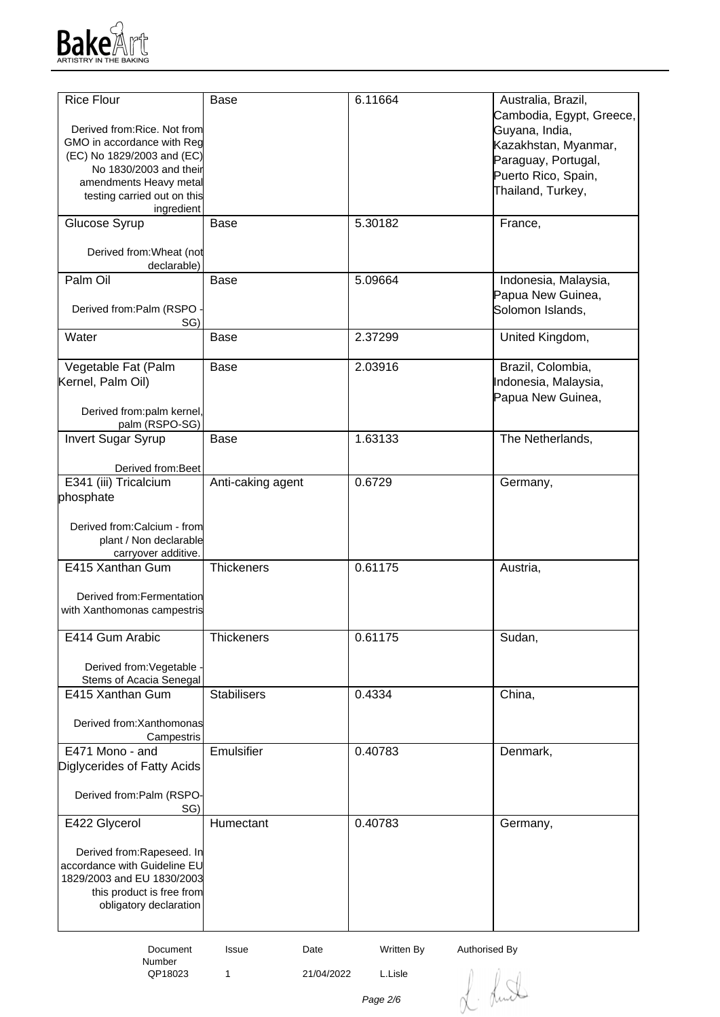

| <b>Rice Flour</b>            | <b>Base</b>        | 6.11664                     | Australia, Brazil,       |
|------------------------------|--------------------|-----------------------------|--------------------------|
|                              |                    |                             | Cambodia, Egypt, Greece, |
| Derived from: Rice. Not from |                    |                             | Guyana, India,           |
| GMO in accordance with Reg   |                    |                             | Kazakhstan, Myanmar,     |
| (EC) No 1829/2003 and (EC)   |                    |                             | Paraguay, Portugal,      |
| No 1830/2003 and their       |                    |                             | Puerto Rico, Spain,      |
| amendments Heavy metal       |                    |                             |                          |
| testing carried out on this  |                    |                             | Thailand, Turkey,        |
| ingredient                   |                    |                             |                          |
| Glucose Syrup                | <b>Base</b>        | 5.30182                     | France,                  |
|                              |                    |                             |                          |
| Derived from: Wheat (not     |                    |                             |                          |
| declarable)                  |                    |                             |                          |
| Palm Oil                     | Base               | 5.09664                     | Indonesia, Malaysia,     |
|                              |                    |                             | Papua New Guinea,        |
|                              |                    |                             |                          |
| Derived from:Palm (RSPO      |                    |                             | Solomon Islands,         |
| SG)                          |                    |                             |                          |
| Water                        | <b>Base</b>        | 2.37299                     | United Kingdom,          |
|                              |                    |                             |                          |
| Vegetable Fat (Palm          | Base               | 2.03916                     | Brazil, Colombia,        |
| Kernel, Palm Oil)            |                    |                             | Indonesia, Malaysia,     |
|                              |                    |                             | Papua New Guinea,        |
| Derived from:palm kernel,    |                    |                             |                          |
| palm (RSPO-SG)               |                    |                             |                          |
| Invert Sugar Syrup           | <b>Base</b>        | 1.63133                     | The Netherlands,         |
|                              |                    |                             |                          |
|                              |                    |                             |                          |
| Derived from: Beet           |                    |                             |                          |
| E341 (iii) Tricalcium        | Anti-caking agent  | 0.6729                      | Germany,                 |
| phosphate                    |                    |                             |                          |
|                              |                    |                             |                          |
| Derived from:Calcium - from  |                    |                             |                          |
| plant / Non declarable       |                    |                             |                          |
| carryover additive.          |                    |                             |                          |
| E415 Xanthan Gum             | <b>Thickeners</b>  | 0.61175                     | Austria,                 |
|                              |                    |                             |                          |
| Derived from: Fermentation   |                    |                             |                          |
| with Xanthomonas campestris  |                    |                             |                          |
|                              |                    |                             |                          |
| E414 Gum Arabic              | <b>Thickeners</b>  | 0.61175                     | Sudan,                   |
|                              |                    |                             |                          |
|                              |                    |                             |                          |
| Derived from: Vegetable      |                    |                             |                          |
| Stems of Acacia Senegal      |                    |                             |                          |
| E415 Xanthan Gum             | <b>Stabilisers</b> | 0.4334                      | China,                   |
|                              |                    |                             |                          |
| Derived from: Xanthomonas    |                    |                             |                          |
| Campestris                   |                    |                             |                          |
| E471 Mono - and              | Emulsifier         | 0.40783                     | Denmark,                 |
| Diglycerides of Fatty Acids  |                    |                             |                          |
|                              |                    |                             |                          |
| Derived from:Palm (RSPO-     |                    |                             |                          |
| SG)                          |                    |                             |                          |
| E422 Glycerol                | Humectant          | 0.40783                     |                          |
|                              |                    |                             | Germany,                 |
|                              |                    |                             |                          |
| Derived from:Rapeseed. In    |                    |                             |                          |
| accordance with Guideline EU |                    |                             |                          |
| 1829/2003 and EU 1830/2003   |                    |                             |                          |
| this product is free from    |                    |                             |                          |
| obligatory declaration       |                    |                             |                          |
|                              |                    |                             |                          |
|                              |                    |                             |                          |
| Document                     | Date<br>Issue      | Written By<br>Authorised By |                          |

Number<br>QP18023

1 21/04/2022 L.Lisle

L. Lund

Page 2/6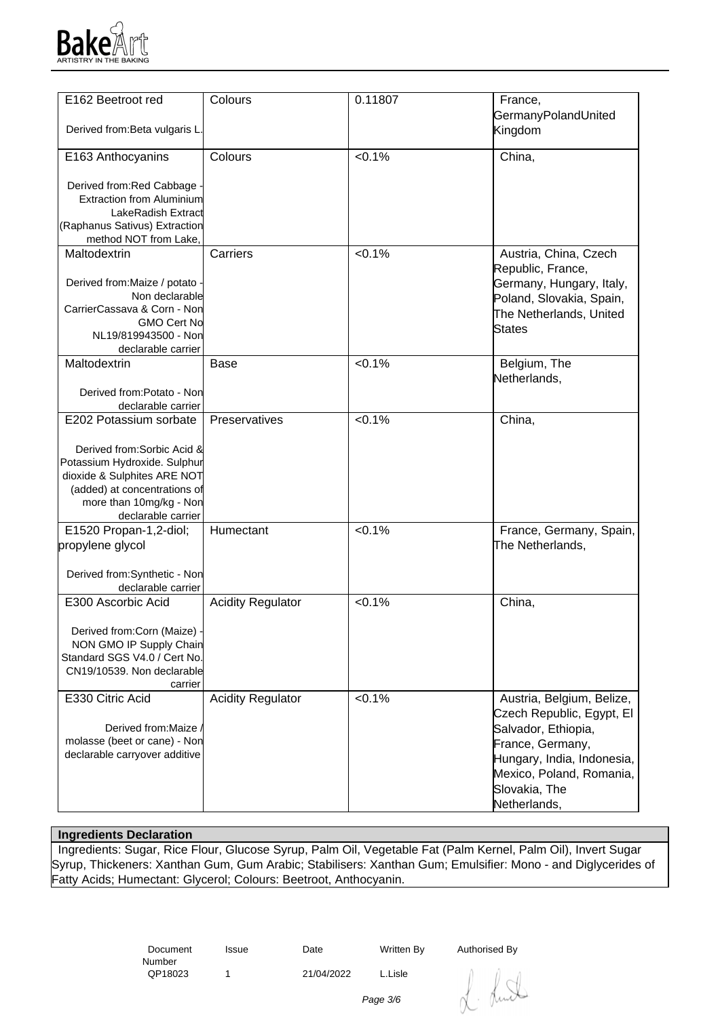

| E162 Beetroot red                | Colours                  | 0.11807   | France,                    |
|----------------------------------|--------------------------|-----------|----------------------------|
|                                  |                          |           | GermanyPolandUnited        |
| Derived from: Beta vulgaris L.   |                          |           | Kingdom                    |
|                                  |                          |           |                            |
|                                  |                          |           |                            |
| E163 Anthocyanins                | Colours                  | $< 0.1\%$ | China,                     |
|                                  |                          |           |                            |
| Derived from: Red Cabbage -      |                          |           |                            |
| <b>Extraction from Aluminium</b> |                          |           |                            |
| LakeRadish Extract               |                          |           |                            |
|                                  |                          |           |                            |
| (Raphanus Sativus) Extraction    |                          |           |                            |
| method NOT from Lake,            |                          |           |                            |
| Maltodextrin                     | Carriers                 | $< 0.1\%$ | Austria, China, Czech      |
|                                  |                          |           | Republic, France,          |
|                                  |                          |           |                            |
| Derived from: Maize / potato ·   |                          |           | Germany, Hungary, Italy,   |
| Non declarable                   |                          |           | Poland, Slovakia, Spain,   |
| CarrierCassava & Corn - Non      |                          |           | The Netherlands, United    |
| <b>GMO Cert No</b>               |                          |           |                            |
| NL19/819943500 - Non             |                          |           | States                     |
| declarable carrier               |                          |           |                            |
|                                  |                          | < 0.1%    |                            |
| Maltodextrin                     | <b>Base</b>              |           | Belgium, The               |
|                                  |                          |           | Netherlands,               |
| Derived from:Potato - Non        |                          |           |                            |
| declarable carrier               |                          |           |                            |
| E202 Potassium sorbate           | Preservatives            | $< 0.1\%$ | China,                     |
|                                  |                          |           |                            |
|                                  |                          |           |                            |
| Derived from: Sorbic Acid &      |                          |           |                            |
| Potassium Hydroxide. Sulphur     |                          |           |                            |
| dioxide & Sulphites ARE NOT      |                          |           |                            |
| (added) at concentrations of     |                          |           |                            |
|                                  |                          |           |                            |
| more than 10mg/kg - Non          |                          |           |                            |
| declarable carrier               |                          |           |                            |
| E1520 Propan-1,2-diol;           | Humectant                | $< 0.1\%$ | France, Germany, Spain,    |
| propylene glycol                 |                          |           | The Netherlands,           |
|                                  |                          |           |                            |
|                                  |                          |           |                            |
| Derived from:Synthetic - Non     |                          |           |                            |
| declarable carrier               |                          |           |                            |
| E300 Ascorbic Acid               | <b>Acidity Regulator</b> | < 0.1%    | China,                     |
|                                  |                          |           |                            |
|                                  |                          |           |                            |
| Derived from:Corn (Maize) -      |                          |           |                            |
| NON GMO IP Supply Chain          |                          |           |                            |
| Standard SGS V4.0 / Cert No.     |                          |           |                            |
| CN19/10539. Non declarable       |                          |           |                            |
| carrier                          |                          |           |                            |
| E330 Citric Acid                 | <b>Acidity Regulator</b> | $< 0.1\%$ | Austria, Belgium, Belize,  |
|                                  |                          |           |                            |
|                                  |                          |           | Czech Republic, Egypt, El  |
| Derived from: Maize              |                          |           | Salvador, Ethiopia,        |
| molasse (beet or cane) - Non     |                          |           | France, Germany,           |
| declarable carryover additive    |                          |           |                            |
|                                  |                          |           | Hungary, India, Indonesia, |
|                                  |                          |           | Mexico, Poland, Romania,   |
|                                  |                          |           | Slovakia, The              |
|                                  |                          |           | Netherlands,               |
|                                  |                          |           |                            |

## **Ingredients Declaration**

 Ingredients: Sugar, Rice Flour, Glucose Syrup, Palm Oil, Vegetable Fat (Palm Kernel, Palm Oil), Invert Sugar Syrup, Thickeners: Xanthan Gum, Gum Arabic; Stabilisers: Xanthan Gum; Emulsifier: Mono - and Diglycerides of Fatty Acids; Humectant: Glycerol; Colours: Beetroot, Anthocyanin.

> Document Number<br>QP18023

Issue Date Written By Authorised By

1 21/04/2022 L.Lisle

dunt

Page 3/6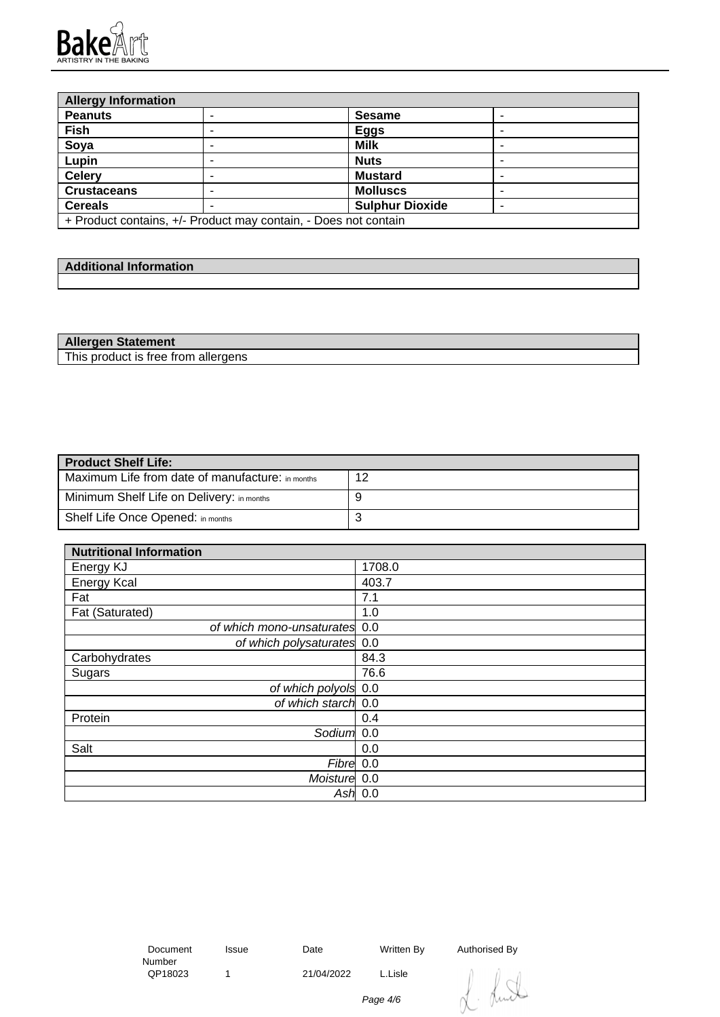

| <b>Allergy Information</b> |                                                                 |                        |  |
|----------------------------|-----------------------------------------------------------------|------------------------|--|
| <b>Peanuts</b>             |                                                                 | <b>Sesame</b>          |  |
| Fish                       |                                                                 | <b>Eggs</b>            |  |
| Soya                       |                                                                 | <b>Milk</b>            |  |
| Lupin                      |                                                                 | <b>Nuts</b>            |  |
| <b>Celery</b>              |                                                                 | <b>Mustard</b>         |  |
| <b>Crustaceans</b>         |                                                                 | <b>Molluscs</b>        |  |
| <b>Cereals</b>             |                                                                 | <b>Sulphur Dioxide</b> |  |
|                            | + Product contains, +/- Product may contain, - Does not contain |                        |  |

| والمحدود والمسارات والمستحدث<br>----<br><b>Additional Information</b> |  |
|-----------------------------------------------------------------------|--|
|                                                                       |  |

| <b>Allergen Statement</b>           |  |
|-------------------------------------|--|
| This product is free from allergens |  |

| <b>Product Shelf Life:</b>                       |    |
|--------------------------------------------------|----|
| Maximum Life from date of manufacture: in months | 12 |
| Minimum Shelf Life on Delivery: in months        |    |
| Shelf Life Once Opened: in months                | ັ  |

| <b>Nutritional Information</b> |        |
|--------------------------------|--------|
| Energy KJ                      | 1708.0 |
| <b>Energy Kcal</b>             | 403.7  |
| Fat                            | 7.1    |
| Fat (Saturated)                | 1.0    |
| of which mono-unsaturates 0.0  |        |
| of which polysaturates 0.0     |        |
| Carbohydrates                  | 84.3   |
| Sugars                         | 76.6   |
| of which polyols 0.0           |        |
| of which starch 0.0            |        |
| Protein                        | 0.4    |
| Sodium <sup>1</sup> 0.0        |        |
| Salt                           | 0.0    |
| Fibre 0.0                      |        |
| Moisture 0.0                   |        |
| Ash                            | 0.0    |

 Document Number<br>QP18023

1 21/04/2022 L.Lisle

Issue Date Written By Authorised By

Lund

Page 4/6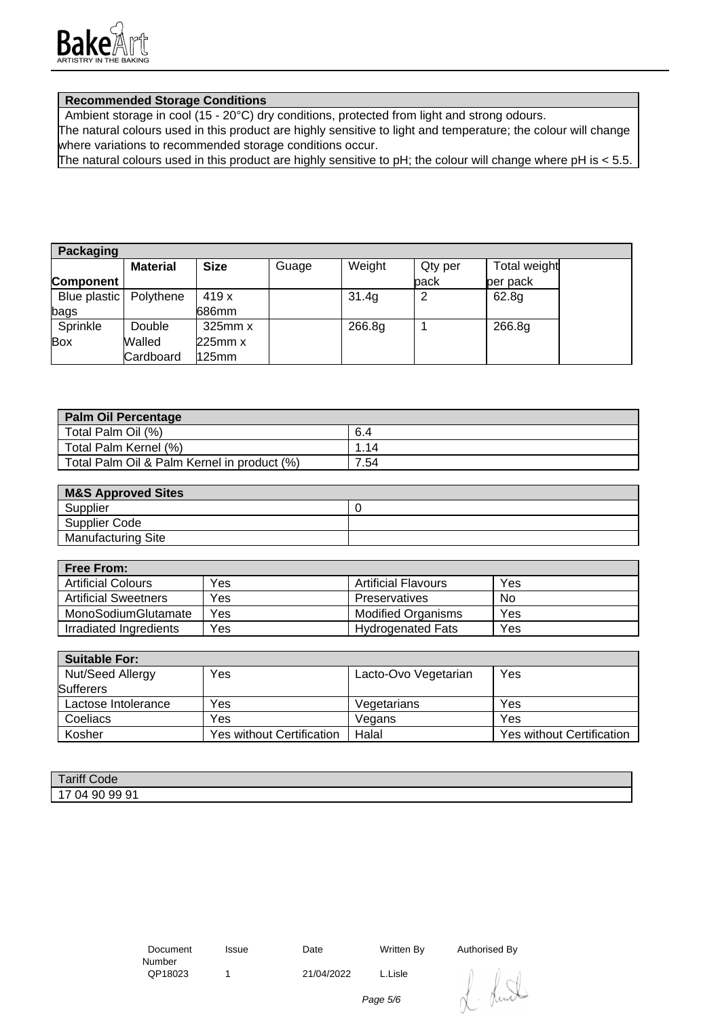

## **Recommended Storage Conditions**

Ambient storage in cool (15 - 20°C) dry conditions, protected from light and strong odours.

The natural colours used in this product are highly sensitive to light and temperature; the colour will change where variations to recommended storage conditions occur.

The natural colours used in this product are highly sensitive to pH; the colour will change where pH is < 5.5.

| <b>Packaging</b>         |                 |              |       |        |         |              |
|--------------------------|-----------------|--------------|-------|--------|---------|--------------|
|                          | <b>Material</b> | <b>Size</b>  | Guage | Weight | Qty per | Total weight |
| Component                |                 |              |       |        | pack    | per pack     |
| Blue plastic   Polythene |                 | 419 x        |       | 31.4g  |         | 62.8g        |
| bags                     |                 | 686mm        |       |        |         |              |
| Sprinkle                 | Double          | $325$ mm $x$ |       | 266.8g |         | 266.8g       |
| Box                      | Walled          | 225mm x      |       |        |         |              |
|                          | Cardboard       | $125$ mm     |       |        |         |              |

| <b>Palm Oil Percentage</b>                  |      |
|---------------------------------------------|------|
| Total Palm Oil (%)                          | 6.4  |
| Total Palm Kernel (%)                       | .14  |
| Total Palm Oil & Palm Kernel in product (%) | 7.54 |

| <b>M&amp;S Approved Sites</b> |  |
|-------------------------------|--|
| Supplier                      |  |
| Supplier Code                 |  |
| <b>Manufacturing Site</b>     |  |

| <b>Free From:</b>           |     |                            |     |
|-----------------------------|-----|----------------------------|-----|
| <b>Artificial Colours</b>   | Yes | <b>Artificial Flavours</b> | Yes |
| <b>Artificial Sweetners</b> | Yes | Preservatives              | No  |
| MonoSodiumGlutamate         | Yes | <b>Modified Organisms</b>  | Yes |
| Irradiated Ingredients      | Yes | <b>Hydrogenated Fats</b>   | Yes |

| <b>Suitable For:</b> |                           |                      |                                  |
|----------------------|---------------------------|----------------------|----------------------------------|
| Nut/Seed Allergy     | Yes                       | Lacto-Ovo Vegetarian | Yes                              |
| <b>Sufferers</b>     |                           |                      |                                  |
| Lactose Intolerance  | Yes                       | Vegetarians          | Yes                              |
| Coeliacs             | Yes                       | Vegans               | Yes                              |
| Kosher               | Yes without Certification | Halal                | <b>Yes without Certification</b> |

| ariff Code<br><b>The Company of the Company</b> |  |
|-------------------------------------------------|--|
| 9991<br>90<br>14<br>◡᠇                          |  |

 Document Number<br>QP18023

1 21/04/2022 L.Lisle

Issue Date Written By Authorised By